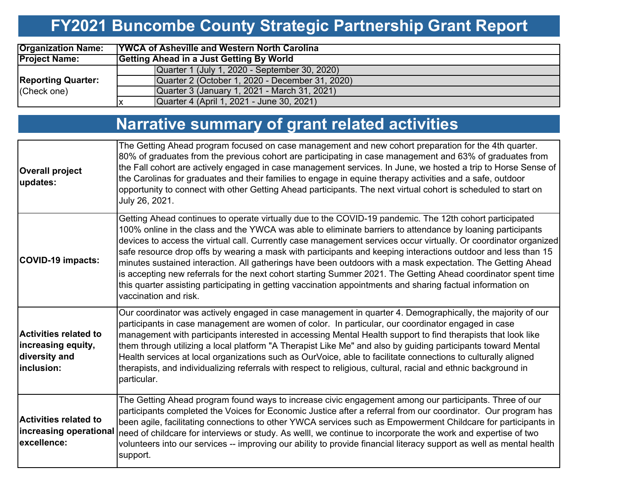# **FY2021 Buncombe County Strategic Partnership Grant Report**

| <b>Organization Name:</b>                | <b>TYWCA of Asheville and Western North Carolina</b> |  |  |  |  |  |  |  |  |
|------------------------------------------|------------------------------------------------------|--|--|--|--|--|--|--|--|
| <b>Project Name:</b>                     | Getting Ahead in a Just Getting By World             |  |  |  |  |  |  |  |  |
| <b>Reporting Quarter:</b><br>(Check one) | Quarter 1 (July 1, 2020 - September 30, 2020)        |  |  |  |  |  |  |  |  |
|                                          | Quarter 2 (October 1, 2020 - December 31, 2020)      |  |  |  |  |  |  |  |  |
|                                          | Quarter 3 (January 1, 2021 - March 31, 2021)         |  |  |  |  |  |  |  |  |
|                                          | Quarter 4 (April 1, 2021 - June 30, 2021)            |  |  |  |  |  |  |  |  |

# **Narrative summary of grant related activities**

| <b>Overall project</b><br>updates:                                                | The Getting Ahead program focused on case management and new cohort preparation for the 4th quarter.<br>80% of graduates from the previous cohort are participating in case management and 63% of graduates from<br>the Fall cohort are actively engaged in case management services. In June, we hosted a trip to Horse Sense of<br>the Carolinas for graduates and their families to engage in equine therapy activities and a safe, outdoor<br>opportunity to connect with other Getting Ahead participants. The next virtual cohort is scheduled to start on<br>July 26, 2021.                                                                                                                                                                                                                                                 |
|-----------------------------------------------------------------------------------|------------------------------------------------------------------------------------------------------------------------------------------------------------------------------------------------------------------------------------------------------------------------------------------------------------------------------------------------------------------------------------------------------------------------------------------------------------------------------------------------------------------------------------------------------------------------------------------------------------------------------------------------------------------------------------------------------------------------------------------------------------------------------------------------------------------------------------|
| <b>COVID-19 impacts:</b>                                                          | Getting Ahead continues to operate virtually due to the COVID-19 pandemic. The 12th cohort participated<br>100% online in the class and the YWCA was able to eliminate barriers to attendance by loaning participants<br>devices to access the virtual call. Currently case management services occur virtually. Or coordinator organized<br>safe resource drop offs by wearing a mask with participants and keeping interactions outdoor and less than 15<br>minutes sustained interaction. All gatherings have been outdoors with a mask expectation. The Getting Ahead<br>is accepting new referrals for the next cohort starting Summer 2021. The Getting Ahead coordinator spent time<br>this quarter assisting participating in getting vaccination appointments and sharing factual information on<br>vaccination and risk. |
| <b>Activities related to</b><br>increasing equity,<br>diversity and<br>inclusion: | Our coordinator was actively engaged in case management in quarter 4. Demographically, the majority of our<br>participants in case management are women of color. In particular, our coordinator engaged in case<br>management with participants interested in accessing Mental Health support to find therapists that look like<br>them through utilizing a local platform "A Therapist Like Me" and also by guiding participants toward Mental<br>Health services at local organizations such as OurVoice, able to facilitate connections to culturally aligned<br>therapists, and individualizing referrals with respect to religious, cultural, racial and ethnic background in<br>particular.                                                                                                                                 |
| <b>Activities related to</b><br>excellence:                                       | The Getting Ahead program found ways to increase civic engagement among our participants. Three of our<br>participants completed the Voices for Economic Justice after a referral from our coordinator. Our program has<br>been agile, facilitating connections to other YWCA services such as Empowerment Childcare for participants in<br>increasing operational need of childcare for interviews or study. As welll, we continue to incorporate the work and expertise of two<br>volunteers into our services -- improving our ability to provide financial literacy support as well as mental health<br>support.                                                                                                                                                                                                               |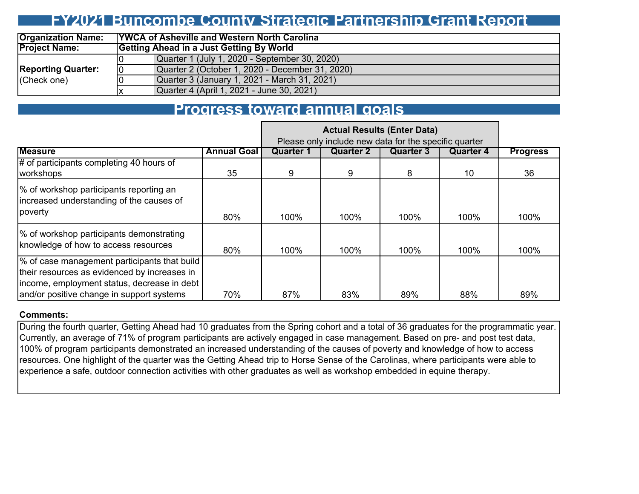### **FY2021 Buncombe County Strategic Partnership Grant Report**

| <b>Organization Name:</b> |    | <b>TYWCA of Asheville and Western North Carolina</b> |  |  |  |  |  |  |  |  |  |
|---------------------------|----|------------------------------------------------------|--|--|--|--|--|--|--|--|--|
| <b>Project Name:</b>      |    | Getting Ahead in a Just Getting By World             |  |  |  |  |  |  |  |  |  |
|                           |    | Quarter 1 (July 1, 2020 - September 30, 2020)        |  |  |  |  |  |  |  |  |  |
| <b>Reporting Quarter:</b> | 10 | Quarter 2 (October 1, 2020 - December 31, 2020)      |  |  |  |  |  |  |  |  |  |
| (Check one)               |    | Quarter 3 (January 1, 2021 - March 31, 2021)         |  |  |  |  |  |  |  |  |  |
|                           |    | Quarter 4 (April 1, 2021 - June 30, 2021)            |  |  |  |  |  |  |  |  |  |

### **Progress toward annual goals**

|                                                                                                                                                                                          |                    | Please only include new data for the specific quarter |           |                  |           |                 |
|------------------------------------------------------------------------------------------------------------------------------------------------------------------------------------------|--------------------|-------------------------------------------------------|-----------|------------------|-----------|-----------------|
| <b>Measure</b>                                                                                                                                                                           | <b>Annual Goal</b> | Quarter 1                                             | Quarter 2 | <b>Quarter 3</b> | Quarter 4 | <b>Progress</b> |
| $\sharp$ of participants completing 40 hours of<br>workshops                                                                                                                             | 35                 | 9                                                     | 9         | 8                | 10        | 36              |
| % of workshop participants reporting an<br>increased understanding of the causes of<br>poverty                                                                                           | 80%                | 100%                                                  | 100%      | 100%             | 100%      | 100%            |
| % of workshop participants demonstrating<br>knowledge of how to access resources                                                                                                         | 80%                | 100%                                                  | 100%      | 100%             | 100%      | 100%            |
| % of case management participants that build<br>their resources as evidenced by increases in<br>income, employment status, decrease in debt<br>and/or positive change in support systems | 70%                | 87%                                                   | 83%       | 89%              | 88%       | 89%             |

#### **Comments:**

During the fourth quarter, Getting Ahead had 10 graduates from the Spring cohort and a total of 36 graduates for the programmatic year. Currently, an average of 71% of program participants are actively engaged in case management. Based on pre- and post test data, 100% of program participants demonstrated an increased understanding of the causes of poverty and knowledge of how to access resources. One highlight of the quarter was the Getting Ahead trip to Horse Sense of the Carolinas, where participants were able to experience a safe, outdoor connection activities with other graduates as well as workshop embedded in equine therapy.